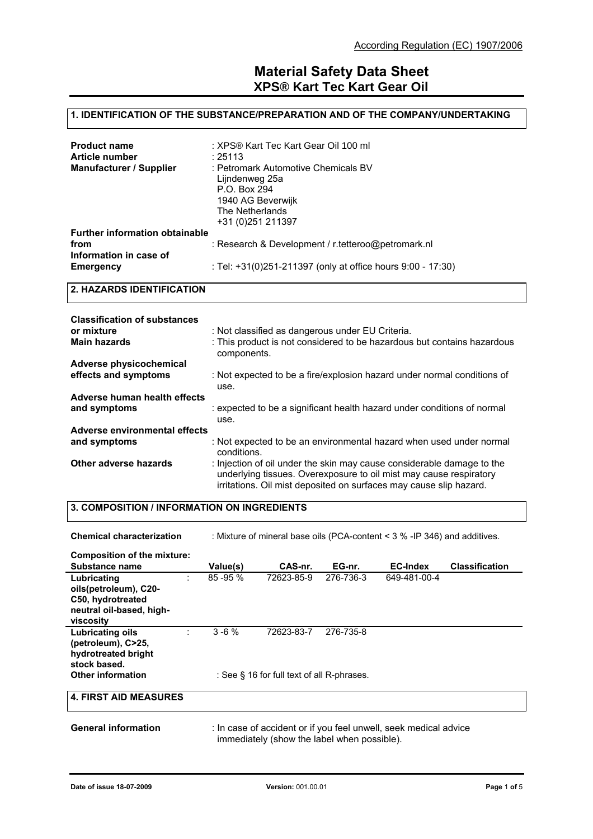### **1. IDENTIFICATION OF THE SUBSTANCE/PREPARATION AND OF THE COMPANY/UNDERTAKING**

| <b>Product name</b><br>Article number<br><b>Manufacturer / Supplier</b> | : XPS® Kart Tec Kart Gear Oil 100 ml<br>: 25113<br>: Petromark Automotive Chemicals BV       |
|-------------------------------------------------------------------------|----------------------------------------------------------------------------------------------|
|                                                                         | Lijndenweg 25a<br>P.O. Box 294<br>1940 AG Beverwijk<br>The Netherlands<br>+31 (0) 251 211397 |
| <b>Further information obtainable</b><br>from                           | : Research & Development / r.tetteroo@petromark.nl                                           |
| Information in case of<br>Emergency                                     | : Tel: +31(0)251-211397 (only at office hours 9:00 - 17:30)                                  |

#### **2. HAZARDS IDENTIFICATION**

| <b>Classification of substances</b> |                                                                                                                                                                                                                    |
|-------------------------------------|--------------------------------------------------------------------------------------------------------------------------------------------------------------------------------------------------------------------|
| or mixture                          | : Not classified as dangerous under EU Criteria.                                                                                                                                                                   |
| <b>Main hazards</b>                 | : This product is not considered to be hazardous but contains hazardous<br>components.                                                                                                                             |
| Adverse physicochemical             |                                                                                                                                                                                                                    |
| effects and symptoms                | : Not expected to be a fire/explosion hazard under normal conditions of<br>use.                                                                                                                                    |
| Adverse human health effects        |                                                                                                                                                                                                                    |
| and symptoms                        | : expected to be a significant health hazard under conditions of normal<br>use.                                                                                                                                    |
| Adverse environmental effects       |                                                                                                                                                                                                                    |
| and symptoms                        | : Not expected to be an environmental hazard when used under normal<br>conditions.                                                                                                                                 |
| Other adverse hazards               | : Injection of oil under the skin may cause considerable damage to the<br>underlying tissues. Overexposure to oil mist may cause respiratory<br>irritations. Oil mist deposited on surfaces may cause slip hazard. |

## **3. COMPOSITION / INFORMATION ON INGREDIENTS**

| <b>Chemical characterization</b>                                                                                 |              |                                                          |           | : Mixture of mineral base oils (PCA-content $<$ 3 % -IP 346) and additives. |                       |
|------------------------------------------------------------------------------------------------------------------|--------------|----------------------------------------------------------|-----------|-----------------------------------------------------------------------------|-----------------------|
| Composition of the mixture:<br>Substance name                                                                    | Value(s)     | CAS-nr.                                                  | EG-nr.    | <b>EC-Index</b>                                                             | <b>Classification</b> |
| Lubricating<br>t.<br>oils(petroleum), C20-<br>C50, hydrotreated<br>neutral oil-based, high-<br>viscosity         | $85 - 95 \%$ | 72623-85-9                                               | 276-736-3 | 649-481-00-4                                                                |                       |
| <b>Lubricating oils</b><br>(petroleum), C>25,<br>hydrotreated bright<br>stock based.<br><b>Other information</b> | $3 - 6%$     | 72623-83-7<br>: See § 16 for full text of all R-phrases. | 276-735-8 |                                                                             |                       |
| <b>4. FIRST AID MEASURES</b>                                                                                     |              |                                                          |           |                                                                             |                       |
| <b>General information</b>                                                                                       |              | immediately (show the label when possible).              |           | : In case of accident or if you feel unwell, seek medical advice            |                       |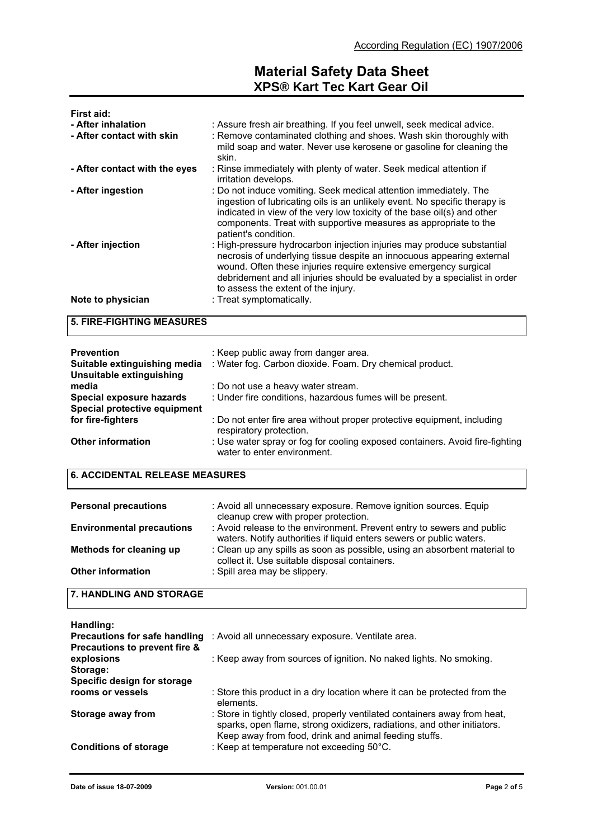| First aid:<br>- After inhalation<br>- After contact with skin | : Assure fresh air breathing. If you feel unwell, seek medical advice.<br>: Remove contaminated clothing and shoes. Wash skin thoroughly with<br>mild soap and water. Never use kerosene or gasoline for cleaning the<br>skin.                                                                                                          |
|---------------------------------------------------------------|-----------------------------------------------------------------------------------------------------------------------------------------------------------------------------------------------------------------------------------------------------------------------------------------------------------------------------------------|
| - After contact with the eyes                                 | : Rinse immediately with plenty of water. Seek medical attention if<br>irritation develops.                                                                                                                                                                                                                                             |
| - After ingestion                                             | : Do not induce vomiting. Seek medical attention immediately. The<br>ingestion of lubricating oils is an unlikely event. No specific therapy is<br>indicated in view of the very low toxicity of the base oil(s) and other<br>components. Treat with supportive measures as appropriate to the<br>patient's condition.                  |
| - After injection                                             | : High-pressure hydrocarbon injection injuries may produce substantial<br>necrosis of underlying tissue despite an innocuous appearing external<br>wound. Often these injuries require extensive emergency surgical<br>debridement and all injuries should be evaluated by a specialist in order<br>to assess the extent of the injury. |
| Note to physician                                             | : Treat symptomatically.                                                                                                                                                                                                                                                                                                                |

**5. FIRE-FIGHTING MEASURES**

| <b>Prevention</b><br>Suitable extinguishing media<br>Unsuitable extinguishing | : Keep public away from danger area.<br>: Water fog. Carbon dioxide. Foam. Dry chemical product.            |
|-------------------------------------------------------------------------------|-------------------------------------------------------------------------------------------------------------|
| media                                                                         | : Do not use a heavy water stream.                                                                          |
| Special exposure hazards                                                      | : Under fire conditions, hazardous fumes will be present.                                                   |
| Special protective equipment                                                  |                                                                                                             |
| for fire-fighters                                                             | : Do not enter fire area without proper protective equipment, including<br>respiratory protection.          |
| <b>Other information</b>                                                      | : Use water spray or fog for cooling exposed containers. Avoid fire-fighting<br>water to enter environment. |

## **6. ACCIDENTAL RELEASE MEASURES**

| <b>Personal precautions</b>      | : Avoid all unnecessary exposure. Remove ignition sources. Equip<br>cleanup crew with proper protection.                                       |
|----------------------------------|------------------------------------------------------------------------------------------------------------------------------------------------|
| <b>Environmental precautions</b> | : Avoid release to the environment. Prevent entry to sewers and public<br>waters. Notify authorities if liquid enters sewers or public waters. |
| Methods for cleaning up          | : Clean up any spills as soon as possible, using an absorbent material to<br>collect it. Use suitable disposal containers.                     |
| <b>Other information</b>         | : Spill area may be slippery.                                                                                                                  |

### **7. HANDLING AND STORAGE**

| Handling:                            |                                                                                                                                                                                                               |
|--------------------------------------|---------------------------------------------------------------------------------------------------------------------------------------------------------------------------------------------------------------|
| <b>Precautions for safe handling</b> | : Avoid all unnecessary exposure. Ventilate area.                                                                                                                                                             |
| Precautions to prevent fire &        |                                                                                                                                                                                                               |
| explosions                           | : Keep away from sources of ignition. No naked lights. No smoking.                                                                                                                                            |
| Storage:                             |                                                                                                                                                                                                               |
| Specific design for storage          |                                                                                                                                                                                                               |
| rooms or vessels                     | : Store this product in a dry location where it can be protected from the<br>elements.                                                                                                                        |
| Storage away from                    | : Store in tightly closed, properly ventilated containers away from heat,<br>sparks, open flame, strong oxidizers, radiations, and other initiators.<br>Keep away from food, drink and animal feeding stuffs. |
| <b>Conditions of storage</b>         | : Keep at temperature not exceeding 50°C.                                                                                                                                                                     |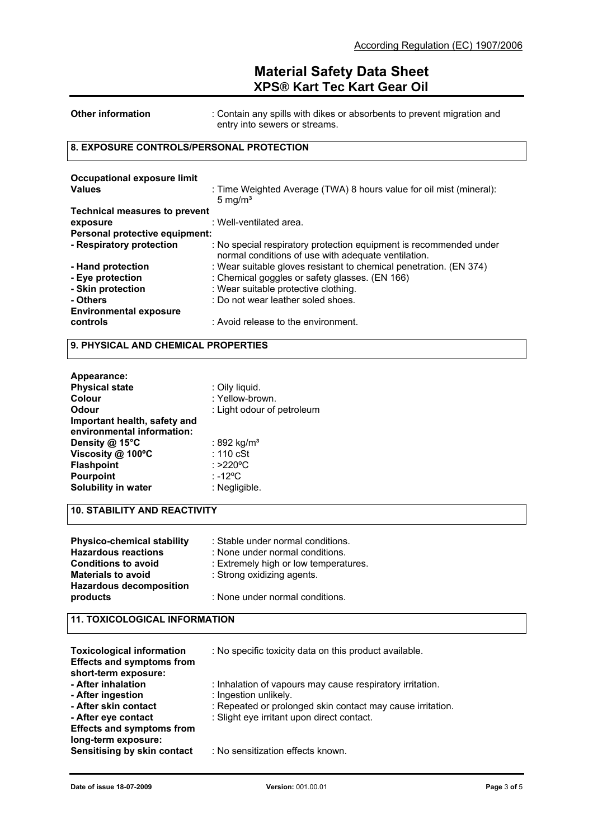| <b>Other information</b>                     | : Contain any spills with dikes or absorbents to prevent migration and<br>entry into sewers or streams. |
|----------------------------------------------|---------------------------------------------------------------------------------------------------------|
| 8. EXPOSURE CONTROLS/PERSONAL PROTECTION     |                                                                                                         |
| Occupational exposure limit<br><b>Values</b> | : Time Weighted Average (TWA) 8 hours value for oil mist (mineral):<br>5 mg/ $m3$                       |

| <b>Technical measures to prevent</b> |                                                                                                                           |
|--------------------------------------|---------------------------------------------------------------------------------------------------------------------------|
| exposure                             | : Well-ventilated area.                                                                                                   |
| Personal protective equipment:       |                                                                                                                           |
| - Respiratory protection             | : No special respiratory protection equipment is recommended under<br>normal conditions of use with adequate ventilation. |
| - Hand protection                    | : Wear suitable gloves resistant to chemical penetration. (EN 374)                                                        |
| - Eye protection                     | : Chemical goggles or safety glasses. (EN 166)                                                                            |
| - Skin protection                    | : Wear suitable protective clothing.                                                                                      |
| - Others                             | : Do not wear leather soled shoes.                                                                                        |
| <b>Environmental exposure</b>        |                                                                                                                           |
| controls                             | : Avoid release to the environment.                                                                                       |

#### **9. PHYSICAL AND CHEMICAL PROPERTIES**

| Appearance:                  |                            |
|------------------------------|----------------------------|
| <b>Physical state</b>        | : Oily liquid.             |
| Colour                       | : Yellow-brown.            |
| Odour                        | : Light odour of petroleum |
| Important health, safety and |                            |
| environmental information:   |                            |
| Density $@$ 15°C             | : 892 kg/m <sup>3</sup>    |
| Viscosity @ 100°C            | $: 110$ cSt                |
| <b>Flashpoint</b>            | : >220°C                   |
| <b>Pourpoint</b>             | $: -12^{\circ}C$           |
| Solubility in water          | : Negligible.              |

## **10. STABILITY AND REACTIVITY**

| <b>Physico-chemical stability</b><br><b>Hazardous reactions</b>                           | : Stable under normal conditions.<br>: None under normal conditions. |
|-------------------------------------------------------------------------------------------|----------------------------------------------------------------------|
| <b>Conditions to avoid</b><br><b>Materials to avoid</b><br><b>Hazardous decomposition</b> | : Extremely high or low temperatures.<br>: Strong oxidizing agents.  |
| products                                                                                  | : None under normal conditions.                                      |

### **11. TOXICOLOGICAL INFORMATION**

| <b>Toxicological information</b><br><b>Effects and symptoms from</b><br>short-term exposure: | : No specific toxicity data on this product available.                                                   |
|----------------------------------------------------------------------------------------------|----------------------------------------------------------------------------------------------------------|
| - After inhalation<br>- After ingestion                                                      | : Inhalation of vapours may cause respiratory irritation.<br>: Ingestion unlikely.                       |
| - After skin contact<br>- After eye contact                                                  | : Repeated or prolonged skin contact may cause irritation.<br>: Slight eye irritant upon direct contact. |
| <b>Effects and symptoms from</b><br>long-term exposure:                                      |                                                                                                          |
| Sensitising by skin contact                                                                  | : No sensitization effects known.                                                                        |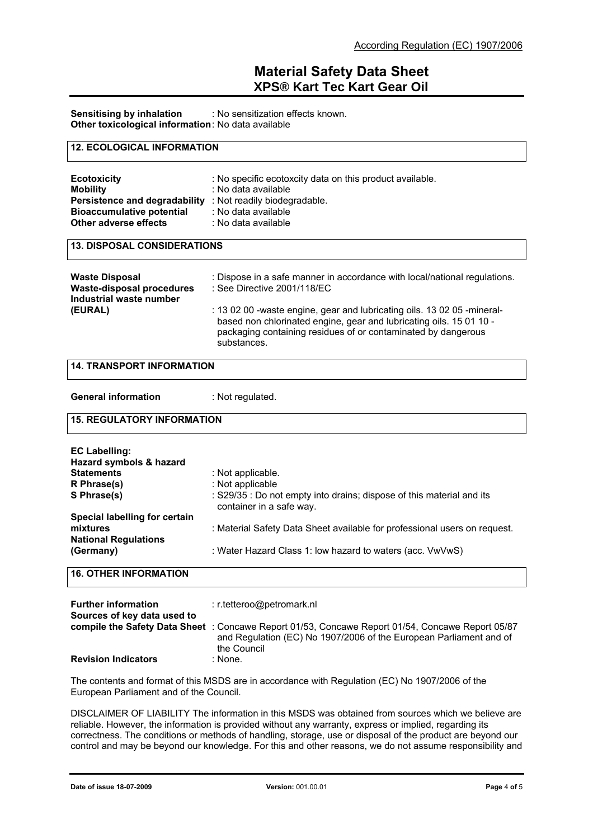**Sensitising by inhalation** : No sensitization effects known. **Other toxicological information:** No data available

#### **12. ECOLOGICAL INFORMATION**

| <b>Ecotoxicity</b><br><b>Mobility</b><br>Persistence and degradability<br><b>Bioaccumulative potential</b><br>Other adverse effects | : No specific ecotoxcity data on this product available.<br>: No data available<br>: Not readily biodegradable.<br>: No data available<br>: No data available |  |
|-------------------------------------------------------------------------------------------------------------------------------------|---------------------------------------------------------------------------------------------------------------------------------------------------------------|--|
|                                                                                                                                     |                                                                                                                                                               |  |
| <b>13. DISPOSAL CONSIDERATIONS</b>                                                                                                  |                                                                                                                                                               |  |

| <b>Waste Disposal</b><br>Waste-disposal procedures<br>Industrial waste number | : Dispose in a safe manner in accordance with local/national regulations.<br>: See Directive 2001/118/EC                                                                                                                       |
|-------------------------------------------------------------------------------|--------------------------------------------------------------------------------------------------------------------------------------------------------------------------------------------------------------------------------|
| (EURAL)                                                                       | : 13 02 00 -waste engine, gear and lubricating oils. 13 02 05 -mineral-<br>based non chlorinated engine, gear and lubricating oils. 15 01 10 -<br>packaging containing residues of or contaminated by dangerous<br>substances. |

#### **14. TRANSPORT INFORMATION**

**General information** : Not regulated.

#### **15. REGULATORY INFORMATION**

| <b>EC Labelling:</b><br>Hazard symbols & hazard<br><b>Statements</b><br>R Phrase(s)<br>S Phrase(s) | : Not applicable.<br>: Not applicable<br>: S29/35 : Do not empty into drains; dispose of this material and its<br>container in a safe way. |
|----------------------------------------------------------------------------------------------------|--------------------------------------------------------------------------------------------------------------------------------------------|
| Special labelling for certain<br>mixtures<br><b>National Regulations</b><br>(Germany)              | : Material Safety Data Sheet available for professional users on request.<br>: Water Hazard Class 1: low hazard to waters (acc. VwVwS)     |

#### **16. OTHER INFORMATION**

| <b>Further information</b><br>Sources of key data used to | $:$ r.tetteroo@petromark.nl                                                                                                                                                          |
|-----------------------------------------------------------|--------------------------------------------------------------------------------------------------------------------------------------------------------------------------------------|
|                                                           | compile the Safety Data Sheet: Concawe Report 01/53, Concawe Report 01/54, Concawe Report 05/87<br>and Regulation (EC) No 1907/2006 of the European Parliament and of<br>the Council |
| <b>Revision Indicators</b>                                | : None.                                                                                                                                                                              |

The contents and format of this MSDS are in accordance with Regulation (EC) No 1907/2006 of the European Parliament and of the Council.

DISCLAIMER OF LIABILITY The information in this MSDS was obtained from sources which we believe are reliable. However, the information is provided without any warranty, express or implied, regarding its correctness. The conditions or methods of handling, storage, use or disposal of the product are beyond our control and may be beyond our knowledge. For this and other reasons, we do not assume responsibility and